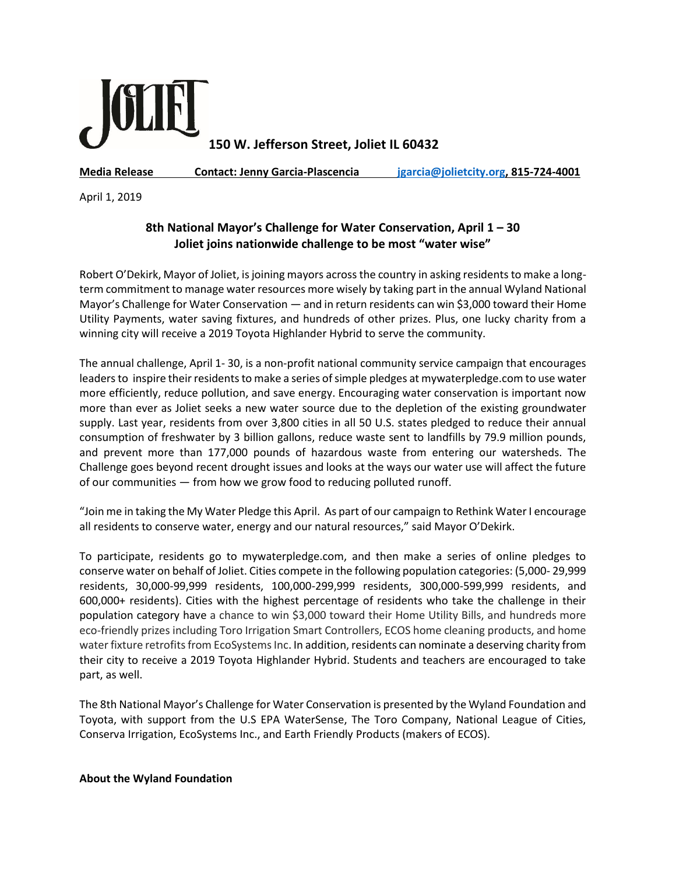

**150 W. Jefferson Street, Joliet IL 60432**

**Media Release Contact: Jenny Garcia-Plascencia [jgarcia@jolietcity.org,](mailto:jgarcia@jolietcity.org) 815-724-4001**

April 1, 2019

## **8th National Mayor's Challenge for Water Conservation, April 1 – 30 Joliet joins nationwide challenge to be most "water wise"**

Robert O'Dekirk, Mayor of Joliet, is joining mayors across the country in asking residents to make a longterm commitment to manage water resources more wisely by taking part in the annual Wyland National Mayor's Challenge for Water Conservation — and in return residents can win \$3,000 toward their Home Utility Payments, water saving fixtures, and hundreds of other prizes. Plus, one lucky charity from a winning city will receive a 2019 Toyota Highlander Hybrid to serve the community.

The annual challenge, April 1- 30, is a non-profit national community service campaign that encourages leaders to inspire their residents to make a series of simple pledges at mywaterpledge.com to use water more efficiently, reduce pollution, and save energy. Encouraging water conservation is important now more than ever as Joliet seeks a new water source due to the depletion of the existing groundwater supply. Last year, residents from over 3,800 cities in all 50 U.S. states pledged to reduce their annual consumption of freshwater by 3 billion gallons, reduce waste sent to landfills by 79.9 million pounds, and prevent more than 177,000 pounds of hazardous waste from entering our watersheds. The Challenge goes beyond recent drought issues and looks at the ways our water use will affect the future of our communities — from how we grow food to reducing polluted runoff.

"Join me in taking the My Water Pledge this April. As part of our campaign to Rethink Water I encourage all residents to conserve water, energy and our natural resources," said Mayor O'Dekirk.

To participate, residents go to mywaterpledge.com, and then make a series of online pledges to conserve water on behalf of Joliet. Cities compete in the following population categories: (5,000- 29,999 residents, 30,000-99,999 residents, 100,000-299,999 residents, 300,000-599,999 residents, and 600,000+ residents). Cities with the highest percentage of residents who take the challenge in their population category have a chance to win \$3,000 toward their Home Utility Bills, and hundreds more eco-friendly prizes including Toro Irrigation Smart Controllers, ECOS home cleaning products, and home water fixture retrofits from EcoSystems Inc. In addition, residents can nominate a deserving charity from their city to receive a 2019 Toyota Highlander Hybrid. Students and teachers are encouraged to take part, as well.

The 8th National Mayor's Challenge for Water Conservation is presented by the Wyland Foundation and Toyota, with support from the U.S EPA WaterSense, The Toro Company, National League of Cities, Conserva Irrigation, EcoSystems Inc., and Earth Friendly Products (makers of ECOS).

**About the Wyland Foundation**